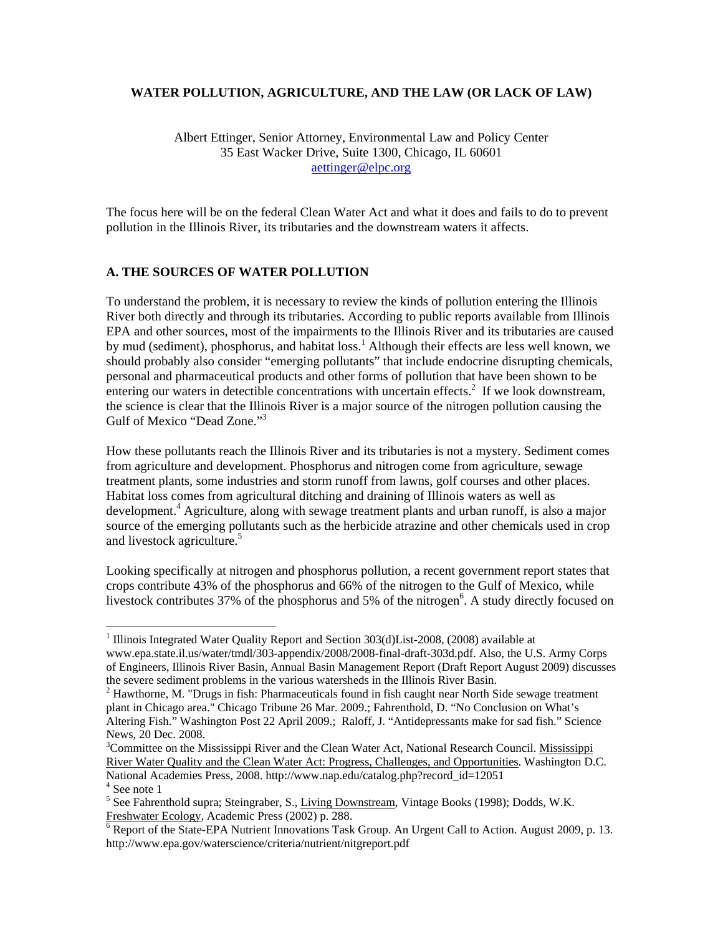### **WATER POLLUTION, AGRICULTURE, AND THE LAW (OR LACK OF LAW)**

Albert Ettinger, Senior Attorney, Environmental Law and Policy Center 35 East Wacker Drive, Suite 1300, Chicago, IL 60601 aettinger@elpc.org

The focus here will be on the federal Clean Water Act and what it does and fails to do to prevent pollution in the Illinois River, its tributaries and the downstream waters it affects.

## **A. THE SOURCES OF WATER POLLUTION**

To understand the problem, it is necessary to review the kinds of pollution entering the Illinois River both directly and through its tributaries. According to public reports available from Illinois EPA and other sources, most of the impairments to the Illinois River and its tributaries are caused by mud (sediment), phosphorus, and habitat loss.<sup>1</sup> Although their effects are less well known, we should probably also consider "emerging pollutants" that include endocrine disrupting chemicals, personal and pharmaceutical products and other forms of pollution that have been shown to be entering our waters in detectible concentrations with uncertain effects.<sup>2</sup> If we look downstream, the science is clear that the Illinois River is a major source of the nitrogen pollution causing the Gulf of Mexico "Dead Zone."<sup>3</sup>

How these pollutants reach the Illinois River and its tributaries is not a mystery. Sediment comes from agriculture and development. Phosphorus and nitrogen come from agriculture, sewage treatment plants, some industries and storm runoff from lawns, golf courses and other places. Habitat loss comes from agricultural ditching and draining of Illinois waters as well as development.<sup>4</sup> Agriculture, along with sewage treatment plants and urban runoff, is also a major source of the emerging pollutants such as the herbicide atrazine and other chemicals used in crop and livestock agriculture.<sup>5</sup>

Looking specifically at nitrogen and phosphorus pollution, a recent government report states that crops contribute 43% of the phosphorus and 66% of the nitrogen to the Gulf of Mexico, while livestock contributes 37% of the phosphorus and 5% of the nitrogen<sup>6</sup>. A study directly focused on

 $\overline{a}$ 

<sup>&</sup>lt;sup>1</sup> Illinois Integrated Water Quality Report and Section 303(d)List-2008, (2008) available at www.epa.state.il.us/water/tmdl/303-appendix/2008/2008-final-draft-303d.pdf. Also, the U.S. Army Corps of Engineers, Illinois River Basin, Annual Basin Management Report (Draft Report August 2009) discusses the severe sediment problems in the various watersheds in the Illinois River Basin.

 $2$  Hawthorne, M. "Drugs in fish: Pharmaceuticals found in fish caught near North Side sewage treatment plant in Chicago area." Chicago Tribune 26 Mar. 2009.; Fahrenthold, D. "No Conclusion on What's Altering Fish." Washington Post 22 April 2009.; Raloff, J. "Antidepressants make for sad fish." Science News, 20 Dec. 2008.

<sup>&</sup>lt;sup>3</sup>Committee on the Mississippi River and the Clean Water Act, National Research Council. Mississippi River Water Quality and the Clean Water Act: Progress, Challenges, and Opportunities. Washington D.C. National Academies Press, 2008. http://www.nap.edu/catalog.php?record\_id=12051

<sup>4</sup> See note 1

<sup>&</sup>lt;sup>5</sup> See Fahrenthold supra; Steingraber, S., *Living Downstream*, Vintage Books (1998); Dodds, W.K. Freshwater Ecology, Academic Press (2002) p. 288.

 $\overline{6}$  Report of the State-EPA Nutrient Innovations Task Group. An Urgent Call to Action. August 2009, p. 13. http://www.epa.gov/waterscience/criteria/nutrient/nitgreport.pdf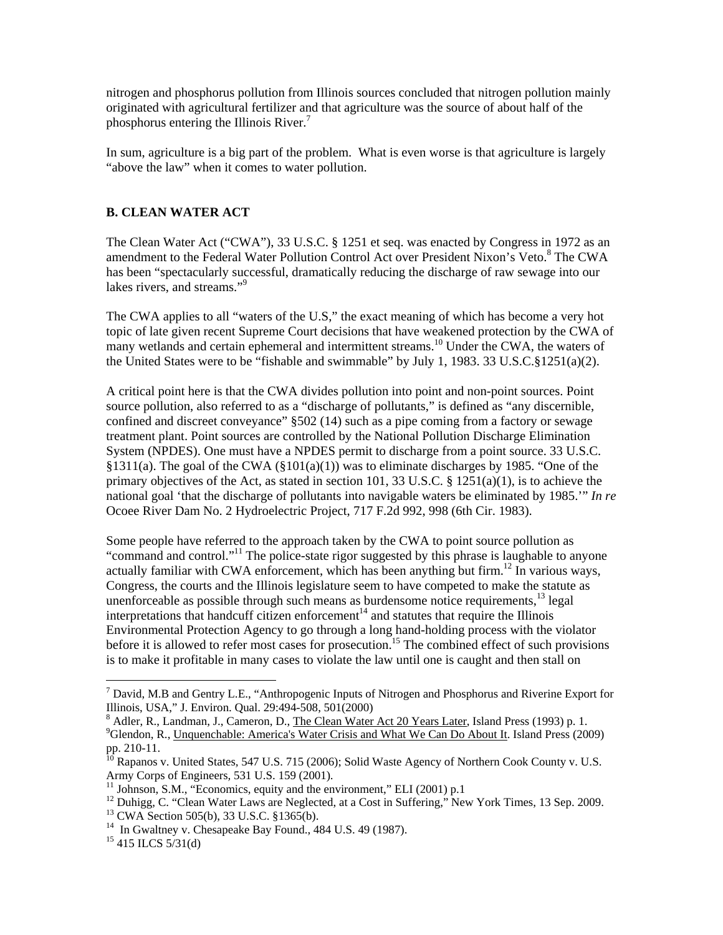nitrogen and phosphorus pollution from Illinois sources concluded that nitrogen pollution mainly originated with agricultural fertilizer and that agriculture was the source of about half of the phosphorus entering the Illinois River. $<sup>7</sup>$ </sup>

In sum, agriculture is a big part of the problem. What is even worse is that agriculture is largely "above the law" when it comes to water pollution.

## **B. CLEAN WATER ACT**

The Clean Water Act ("CWA"), 33 U.S.C. § 1251 et seq. was enacted by Congress in 1972 as an amendment to the Federal Water Pollution Control Act over President Nixon's Veto.<sup>8</sup> The CWA has been "spectacularly successful, dramatically reducing the discharge of raw sewage into our lakes rivers, and streams."<sup>9</sup>

The CWA applies to all "waters of the U.S," the exact meaning of which has become a very hot topic of late given recent Supreme Court decisions that have weakened protection by the CWA of many wetlands and certain ephemeral and intermittent streams.<sup>10</sup> Under the CWA, the waters of the United States were to be "fishable and swimmable" by July 1, 1983. 33 U.S.C.§1251(a)(2).

A critical point here is that the CWA divides pollution into point and non-point sources. Point source pollution, also referred to as a "discharge of pollutants," is defined as "any discernible, confined and discreet conveyance" §502 (14) such as a pipe coming from a factory or sewage treatment plant. Point sources are controlled by the National Pollution Discharge Elimination System (NPDES). One must have a NPDES permit to discharge from a point source. 33 U.S.C. §1311(a). The goal of the CWA (§101(a)(1)) was to eliminate discharges by 1985. "One of the primary objectives of the Act, as stated in section 101, 33 U.S.C. § 1251(a)(1), is to achieve the national goal 'that the discharge of pollutants into navigable waters be eliminated by 1985.'" *In re*  Ocoee River Dam No. 2 Hydroelectric Project, 717 F.2d 992, 998 (6th Cir. 1983).

Some people have referred to the approach taken by the CWA to point source pollution as "command and control."11 The police-state rigor suggested by this phrase is laughable to anyone actually familiar with CWA enforcement, which has been anything but firm.<sup>12</sup> In various ways, Congress, the courts and the Illinois legislature seem to have competed to make the statute as unenforceable as possible through such means as burdensome notice requirements,  $^{13}$  legal interpretations that handcuff citizen enforcement<sup>14</sup> and statutes that require the Illinois Environmental Protection Agency to go through a long hand-holding process with the violator before it is allowed to refer most cases for prosecution.<sup>15</sup> The combined effect of such provisions is to make it profitable in many cases to violate the law until one is caught and then stall on

 $\overline{a}$ 

<sup>&</sup>lt;sup>7</sup> David, M.B and Gentry L.E., "Anthropogenic Inputs of Nitrogen and Phosphorus and Riverine Export for Illinois, USA," J. Environ. Qual. 29:494-508, 501(2000)

 $^8$  Adler, R., Landman, J., Cameron, D., <u>The Clean Water Act 20 Years Later</u>, Island Press (1993) p. 1.<br><sup>9</sup> Glanden, B., Unguangkabla: America's Water Crisis and What We Can De About It, Island Press (200 <sup>9</sup>Glendon, R., Unquenchable: America's Water Crisis and What We Can Do About It. Island Press (2009) pp. 210-11.

<sup>&</sup>lt;sup>10</sup> Rapanos v. United States, 547 U.S. 715 (2006); Solid Waste Agency of Northern Cook County v. U.S.<br>Army Corps of Engineers, 531 U.S. 159 (2001).

 $11$  Johnson, S.M., "Economics, equity and the environment," ELI (2001) p.1

<sup>&</sup>lt;sup>12</sup> Duhigg, C. "Clean Water Laws are Neglected, at a Cost in Suffering," New York Times, 13 Sep. 2009.<br><sup>13</sup> CWA Section 505(b), 33 U.S.C. §1365(b).

<sup>&</sup>lt;sup>14</sup> In Gwaltney v. Chesapeake Bay Found., 484 U.S. 49 (1987).

<sup>&</sup>lt;sup>15</sup> 415 ILCS 5/31(d)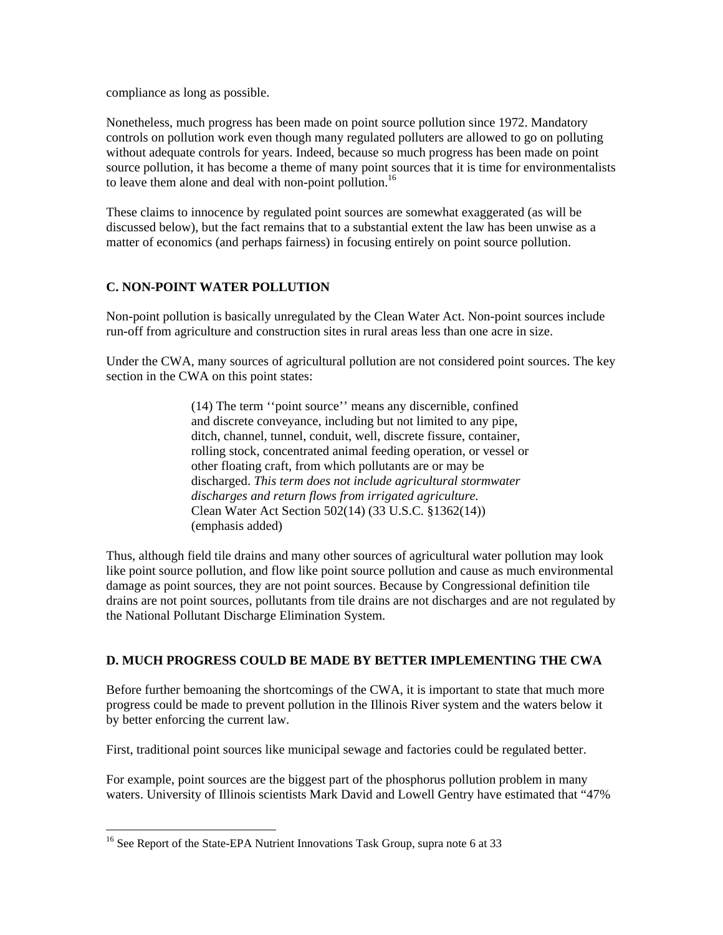compliance as long as possible.

Nonetheless, much progress has been made on point source pollution since 1972. Mandatory controls on pollution work even though many regulated polluters are allowed to go on polluting without adequate controls for years. Indeed, because so much progress has been made on point source pollution, it has become a theme of many point sources that it is time for environmentalists to leave them alone and deal with non-point pollution.<sup>16</sup>

These claims to innocence by regulated point sources are somewhat exaggerated (as will be discussed below), but the fact remains that to a substantial extent the law has been unwise as a matter of economics (and perhaps fairness) in focusing entirely on point source pollution.

## **C. NON-POINT WATER POLLUTION**

Non-point pollution is basically unregulated by the Clean Water Act. Non-point sources include run-off from agriculture and construction sites in rural areas less than one acre in size.

Under the CWA, many sources of agricultural pollution are not considered point sources. The key section in the CWA on this point states:

> (14) The term ''point source'' means any discernible, confined and discrete conveyance, including but not limited to any pipe, ditch, channel, tunnel, conduit, well, discrete fissure, container, rolling stock, concentrated animal feeding operation, or vessel or other floating craft, from which pollutants are or may be discharged. *This term does not include agricultural stormwater discharges and return flows from irrigated agriculture.*  Clean Water Act Section 502(14) (33 U.S.C. §1362(14)) (emphasis added)

Thus, although field tile drains and many other sources of agricultural water pollution may look like point source pollution, and flow like point source pollution and cause as much environmental damage as point sources, they are not point sources. Because by Congressional definition tile drains are not point sources, pollutants from tile drains are not discharges and are not regulated by the National Pollutant Discharge Elimination System.

# **D. MUCH PROGRESS COULD BE MADE BY BETTER IMPLEMENTING THE CWA**

Before further bemoaning the shortcomings of the CWA, it is important to state that much more progress could be made to prevent pollution in the Illinois River system and the waters below it by better enforcing the current law.

First, traditional point sources like municipal sewage and factories could be regulated better.

For example, point sources are the biggest part of the phosphorus pollution problem in many waters. University of Illinois scientists Mark David and Lowell Gentry have estimated that "47%

 $\overline{a}$ 

<sup>&</sup>lt;sup>16</sup> See Report of the State-EPA Nutrient Innovations Task Group, supra note 6 at 33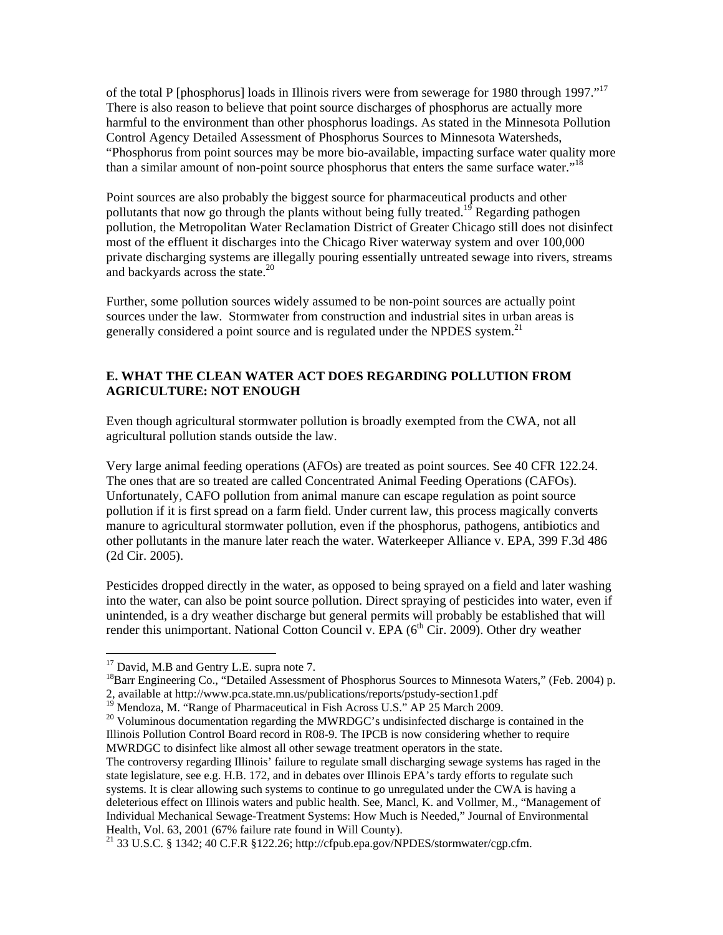of the total P [phosphorus] loads in Illinois rivers were from sewerage for 1980 through 1997."17 There is also reason to believe that point source discharges of phosphorus are actually more harmful to the environment than other phosphorus loadings. As stated in the Minnesota Pollution Control Agency Detailed Assessment of Phosphorus Sources to Minnesota Watersheds, "Phosphorus from point sources may be more bio-available, impacting surface water quality more than a similar amount of non-point source phosphorus that enters the same surface water."<sup>18</sup>

Point sources are also probably the biggest source for pharmaceutical products and other pollutants that now go through the plants without being fully treated.<sup>19</sup> Regarding pathogen pollution, the Metropolitan Water Reclamation District of Greater Chicago still does not disinfect most of the effluent it discharges into the Chicago River waterway system and over 100,000 private discharging systems are illegally pouring essentially untreated sewage into rivers, streams and backyards across the state.<sup>20</sup>

Further, some pollution sources widely assumed to be non-point sources are actually point sources under the law. Stormwater from construction and industrial sites in urban areas is generally considered a point source and is regulated under the NPDES system.<sup>21</sup>

# **E. WHAT THE CLEAN WATER ACT DOES REGARDING POLLUTION FROM AGRICULTURE: NOT ENOUGH**

Even though agricultural stormwater pollution is broadly exempted from the CWA, not all agricultural pollution stands outside the law.

Very large animal feeding operations (AFOs) are treated as point sources. See 40 CFR 122.24. The ones that are so treated are called Concentrated Animal Feeding Operations (CAFOs). Unfortunately, CAFO pollution from animal manure can escape regulation as point source pollution if it is first spread on a farm field. Under current law, this process magically converts manure to agricultural stormwater pollution, even if the phosphorus, pathogens, antibiotics and other pollutants in the manure later reach the water. Waterkeeper Alliance v. EPA, 399 F.3d 486 (2d Cir. 2005).

Pesticides dropped directly in the water, as opposed to being sprayed on a field and later washing into the water, can also be point source pollution. Direct spraying of pesticides into water, even if unintended, is a dry weather discharge but general permits will probably be established that will render this unimportant. National Cotton Council v. EPA  $(6<sup>th</sup> Cir. 2009)$ . Other dry weather

 $\overline{a}$ 

<sup>18</sup>Barr Engineering Co., "Detailed Assessment of Phosphorus Sources to Minnesota Waters," (Feb. 2004) p.

<sup>&</sup>lt;sup>17</sup> David, M.B and Gentry L.E. supra note 7.

<sup>2,</sup> available at http://www.pca.state.mn.us/publications/reports/pstudy-section1.pdf

<sup>&</sup>lt;sup>20</sup> Voluminous documentation regarding the MWRDGC's undisinfected discharge is contained in the Illinois Pollution Control Board record in R08-9. The IPCB is now considering whether to require MWRDGC to disinfect like almost all other sewage treatment operators in the state.

The controversy regarding Illinois' failure to regulate small discharging sewage systems has raged in the state legislature, see e.g. H.B. 172, and in debates over Illinois EPA's tardy efforts to regulate such systems. It is clear allowing such systems to continue to go unregulated under the CWA is having a deleterious effect on Illinois waters and public health. See, Mancl, K. and Vollmer, M., "Management of Individual Mechanical Sewage-Treatment Systems: How Much is Needed," Journal of Environmental Health, Vol. 63, 2001 (67% failure rate found in Will County).

<sup>21 33</sup> U.S.C. § 1342; 40 C.F.R §122.26; http://cfpub.epa.gov/NPDES/stormwater/cgp.cfm.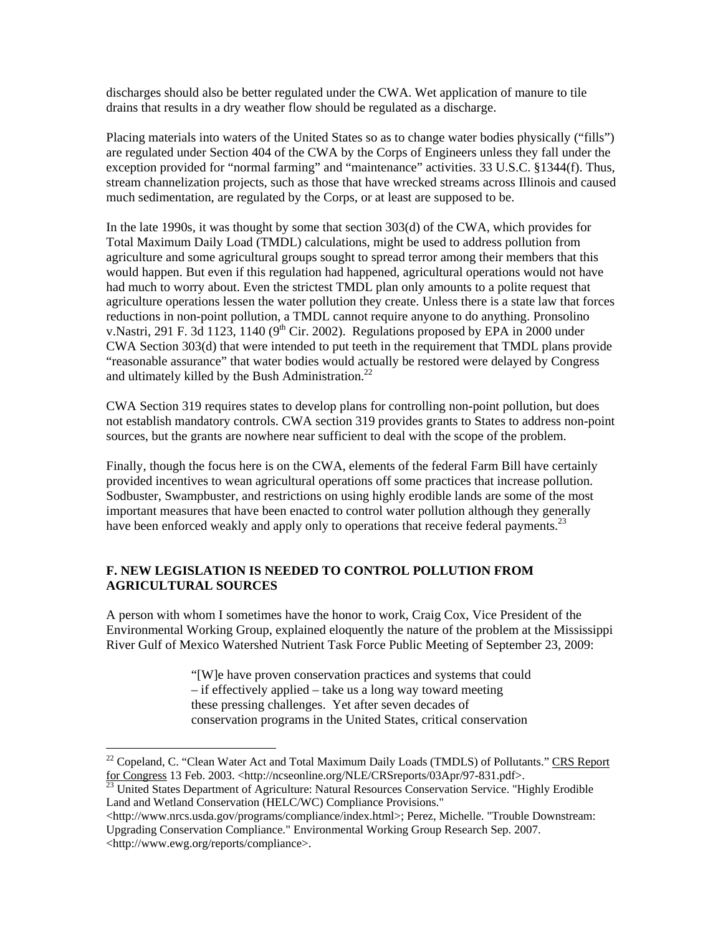discharges should also be better regulated under the CWA. Wet application of manure to tile drains that results in a dry weather flow should be regulated as a discharge.

Placing materials into waters of the United States so as to change water bodies physically ("fills") are regulated under Section 404 of the CWA by the Corps of Engineers unless they fall under the exception provided for "normal farming" and "maintenance" activities. 33 U.S.C. §1344(f). Thus, stream channelization projects, such as those that have wrecked streams across Illinois and caused much sedimentation, are regulated by the Corps, or at least are supposed to be.

In the late 1990s, it was thought by some that section 303(d) of the CWA, which provides for Total Maximum Daily Load (TMDL) calculations, might be used to address pollution from agriculture and some agricultural groups sought to spread terror among their members that this would happen. But even if this regulation had happened, agricultural operations would not have had much to worry about. Even the strictest TMDL plan only amounts to a polite request that agriculture operations lessen the water pollution they create. Unless there is a state law that forces reductions in non-point pollution, a TMDL cannot require anyone to do anything. Pronsolino v. Nastri, 291 F. 3d 1123, 1140 (9<sup>th</sup> Cir. 2002). Regulations proposed by EPA in 2000 under CWA Section 303(d) that were intended to put teeth in the requirement that TMDL plans provide "reasonable assurance" that water bodies would actually be restored were delayed by Congress and ultimately killed by the Bush Administration. $^{22}$ 

CWA Section 319 requires states to develop plans for controlling non-point pollution, but does not establish mandatory controls. CWA section 319 provides grants to States to address non-point sources, but the grants are nowhere near sufficient to deal with the scope of the problem.

Finally, though the focus here is on the CWA, elements of the federal Farm Bill have certainly provided incentives to wean agricultural operations off some practices that increase pollution. Sodbuster, Swampbuster, and restrictions on using highly erodible lands are some of the most important measures that have been enacted to control water pollution although they generally have been enforced weakly and apply only to operations that receive federal payments.<sup>23</sup>

## **F. NEW LEGISLATION IS NEEDED TO CONTROL POLLUTION FROM AGRICULTURAL SOURCES**

 $\overline{a}$ 

A person with whom I sometimes have the honor to work, Craig Cox, Vice President of the Environmental Working Group, explained eloquently the nature of the problem at the Mississippi River Gulf of Mexico Watershed Nutrient Task Force Public Meeting of September 23, 2009:

> "[W]e have proven conservation practices and systems that could – if effectively applied – take us a long way toward meeting these pressing challenges. Yet after seven decades of conservation programs in the United States, critical conservation

<http://www.nrcs.usda.gov/programs/compliance/index.html>; Perez, Michelle. "Trouble Downstream: Upgrading Conservation Compliance." Environmental Working Group Research Sep. 2007. <http://www.ewg.org/reports/compliance>.

 $22$  Copeland, C. "Clean Water Act and Total Maximum Daily Loads (TMDLS) of Pollutants." CRS Report for Congress 13 Feb. 2003. <http://ncseonline.org/NLE/CRSreports/03Apr/97-831.pdf>.<br><sup>23</sup> United States Department of Agriculture: Natural Resources Conservation Service. "Highly Erodible

Land and Wetland Conservation (HELC/WC) Compliance Provisions."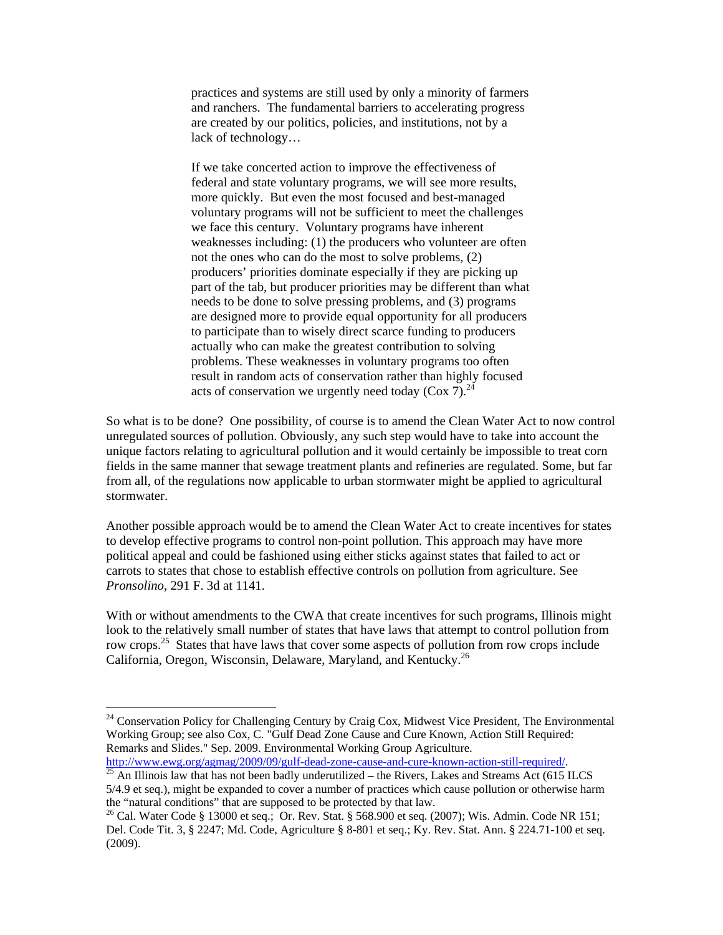practices and systems are still used by only a minority of farmers and ranchers. The fundamental barriers to accelerating progress are created by our politics, policies, and institutions, not by a lack of technology…

If we take concerted action to improve the effectiveness of federal and state voluntary programs, we will see more results, more quickly. But even the most focused and best-managed voluntary programs will not be sufficient to meet the challenges we face this century. Voluntary programs have inherent weaknesses including: (1) the producers who volunteer are often not the ones who can do the most to solve problems, (2) producers' priorities dominate especially if they are picking up part of the tab, but producer priorities may be different than what needs to be done to solve pressing problems, and (3) programs are designed more to provide equal opportunity for all producers to participate than to wisely direct scarce funding to producers actually who can make the greatest contribution to solving problems. These weaknesses in voluntary programs too often result in random acts of conservation rather than highly focused acts of conservation we urgently need today (Cox 7).<sup>24</sup>

So what is to be done? One possibility, of course is to amend the Clean Water Act to now control unregulated sources of pollution. Obviously, any such step would have to take into account the unique factors relating to agricultural pollution and it would certainly be impossible to treat corn fields in the same manner that sewage treatment plants and refineries are regulated. Some, but far from all, of the regulations now applicable to urban stormwater might be applied to agricultural stormwater.

Another possible approach would be to amend the Clean Water Act to create incentives for states to develop effective programs to control non-point pollution. This approach may have more political appeal and could be fashioned using either sticks against states that failed to act or carrots to states that chose to establish effective controls on pollution from agriculture. See *Pronsolino*, 291 F. 3d at 1141.

With or without amendments to the CWA that create incentives for such programs, Illinois might look to the relatively small number of states that have laws that attempt to control pollution from row crops.<sup>25</sup> States that have laws that cover some aspects of pollution from row crops include California, Oregon, Wisconsin, Delaware, Maryland, and Kentucky.<sup>26</sup>

 $\overline{a}$ 

http://www.ewg.org/agmag/2009/09/gulf-dead-zone-cause-and-cure-known-action-still-required/.<br><sup>25</sup> An Illinois law that has not been badly underutilized – the Rivers, Lakes and Streams Act (615 ILCS 5/4.9 et seq.), might be expanded to cover a number of practices which cause pollution or otherwise harm the "natural conditions" that are supposed to be protected by that law.

<sup>&</sup>lt;sup>24</sup> Conservation Policy for Challenging Century by Craig Cox, Midwest Vice President, The Environmental Working Group; see also Cox, C. "Gulf Dead Zone Cause and Cure Known, Action Still Required: Remarks and Slides." Sep. 2009. Environmental Working Group Agriculture.

<sup>26</sup> Cal. Water Code § 13000 et seq.; Or. Rev. Stat. § 568.900 et seq. (2007); Wis. Admin. Code NR 151; Del. Code Tit. 3, § 2247; Md. Code, Agriculture § 8-801 et seq.; Ky. Rev. Stat. Ann. § 224.71-100 et seq. (2009).